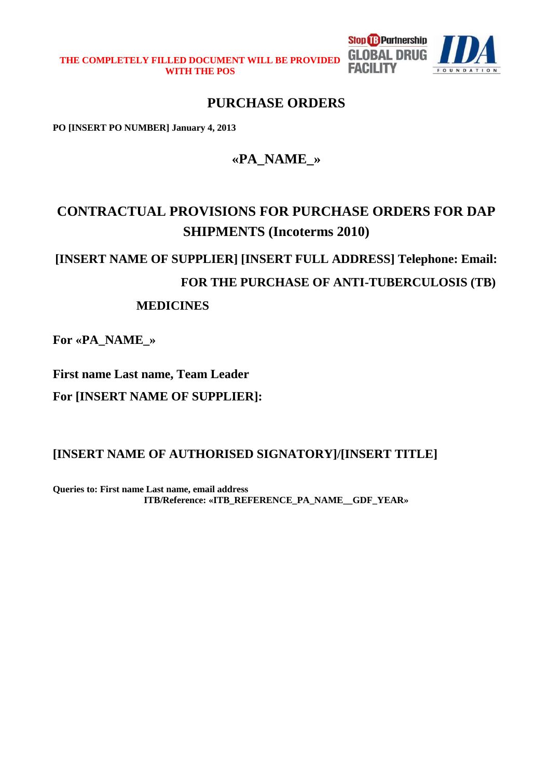**THE COMPLETELY FILLED DOCUMENT WILL BE PROVIDED WITH THE POS** 



# **PURCHASE ORDERS**

**PO [INSERT PO NUMBER] January 4, 2013** 

# **«PA\_NAME\_»**

# **CONTRACTUAL PROVISIONS FOR PURCHASE ORDERS FOR DAP SHIPMENTS (Incoterms 2010)**

# **[INSERT NAME OF SUPPLIER] [INSERT FULL ADDRESS] Telephone: Email:**

**FOR THE PURCHASE OF ANTI-TUBERCULOSIS (TB)** 

**FACILITY** 

# **MEDICINES**

**For «PA\_NAME\_»** 

**First name Last name, Team Leader** 

**For [INSERT NAME OF SUPPLIER]:** 

**[INSERT NAME OF AUTHORISED SIGNATORY]/[INSERT TITLE]**

**Queries to: First name Last name, email address ITB/Reference: «ITB\_REFERENCE\_PA\_NAME\_\_GDF\_YEAR»**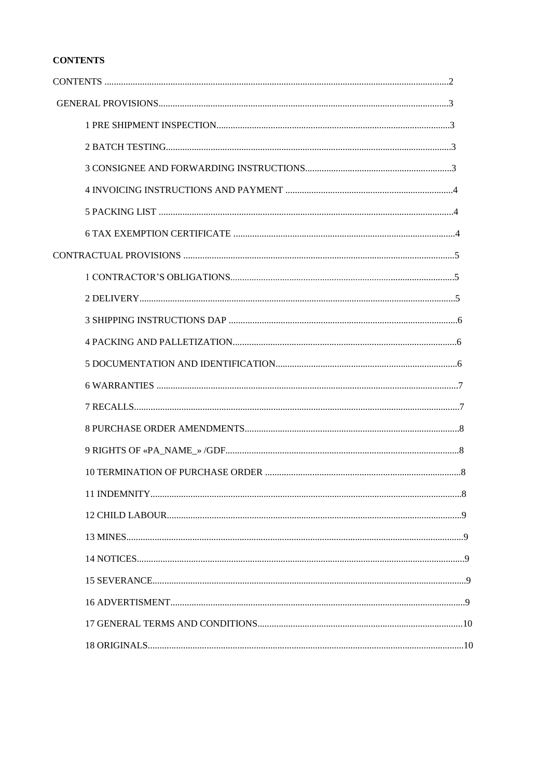# **CONTENTS**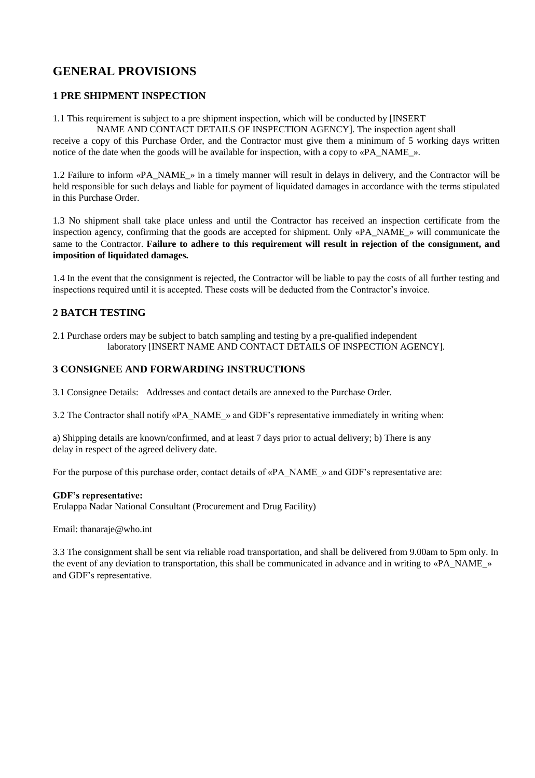# **GENERAL PROVISIONS**

#### **1 PRE SHIPMENT INSPECTION**

1.1 This requirement is subject to a pre shipment inspection, which will be conducted by [INSERT

NAME AND CONTACT DETAILS OF INSPECTION AGENCY]. The inspection agent shall

receive a copy of this Purchase Order, and the Contractor must give them a minimum of 5 working days written notice of the date when the goods will be available for inspection, with a copy to «PA\_NAME\_».

1.2 Failure to inform «PA\_NAME\_» in a timely manner will result in delays in delivery, and the Contractor will be held responsible for such delays and liable for payment of liquidated damages in accordance with the terms stipulated in this Purchase Order.

1.3 No shipment shall take place unless and until the Contractor has received an inspection certificate from the inspection agency, confirming that the goods are accepted for shipment. Only «PA\_NAME\_» will communicate the same to the Contractor. **Failure to adhere to this requirement will result in rejection of the consignment, and imposition of liquidated damages.** 

1.4 In the event that the consignment is rejected, the Contractor will be liable to pay the costs of all further testing and inspections required until it is accepted. These costs will be deducted from the Contractor's invoice.

# **2 BATCH TESTING**

2.1 Purchase orders may be subject to batch sampling and testing by a pre-qualified independent laboratory [INSERT NAME AND CONTACT DETAILS OF INSPECTION AGENCY].

#### **3 CONSIGNEE AND FORWARDING INSTRUCTIONS**

3.1 Consignee Details: Addresses and contact details are annexed to the Purchase Order.

3.2 The Contractor shall notify «PA\_NAME\_» and GDF's representative immediately in writing when:

a) Shipping details are known/confirmed, and at least 7 days prior to actual delivery; b) There is any delay in respect of the agreed delivery date.

For the purpose of this purchase order, contact details of «PA\_NAME\_» and GDF's representative are:

#### **GDF's representative:**

Erulappa Nadar National Consultant (Procurement and Drug Facility)

Email: thanaraje@who.int

3.3 The consignment shall be sent via reliable road transportation, and shall be delivered from 9.00am to 5pm only. In the event of any deviation to transportation, this shall be communicated in advance and in writing to «PA\_NAME » and GDF's representative.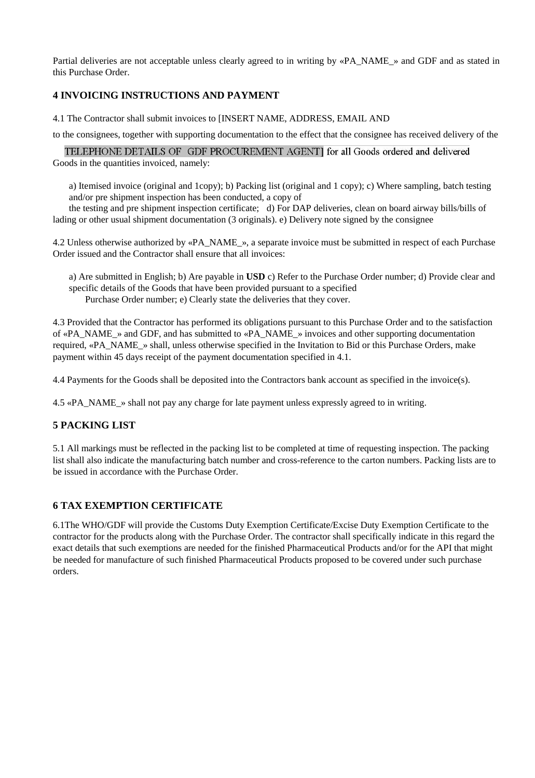Partial deliveries are not acceptable unless clearly agreed to in writing by «PA\_NAME\_» and GDF and as stated in this Purchase Order.

# **4 INVOICING INSTRUCTIONS AND PAYMENT**

4.1 The Contractor shall submit invoices to [INSERT NAME, ADDRESS, EMAIL AND

to the consignees, together with supporting documentation to the effect that the consignee has received delivery of the

TELEPHONE DETAILS OF GDF PROCUREMENT AGENT] for all Goods ordered and delivered Goods in the quantities invoiced, namely:

a) Itemised invoice (original and 1copy); b) Packing list (original and 1 copy); c) Where sampling, batch testing and/or pre shipment inspection has been conducted, a copy of

the testing and pre shipment inspection certificate; d) For DAP deliveries, clean on board airway bills/bills of lading or other usual shipment documentation (3 originals). e) Delivery note signed by the consignee

4.2 Unless otherwise authorized by «PA\_NAME\_», a separate invoice must be submitted in respect of each Purchase Order issued and the Contractor shall ensure that all invoices:

a) Are submitted in English; b) Are payable in **USD** c) Refer to the Purchase Order number; d) Provide clear and specific details of the Goods that have been provided pursuant to a specified Purchase Order number; e) Clearly state the deliveries that they cover.

4.3 Provided that the Contractor has performed its obligations pursuant to this Purchase Order and to the satisfaction of «PA\_NAME\_» and GDF, and has submitted to «PA\_NAME\_» invoices and other supporting documentation required, «PA\_NAME\_» shall, unless otherwise specified in the Invitation to Bid or this Purchase Orders, make payment within 45 days receipt of the payment documentation specified in 4.1.

4.4 Payments for the Goods shall be deposited into the Contractors bank account as specified in the invoice(s).

4.5 «PA\_NAME\_» shall not pay any charge for late payment unless expressly agreed to in writing.

# **5 PACKING LIST**

5.1 All markings must be reflected in the packing list to be completed at time of requesting inspection. The packing list shall also indicate the manufacturing batch number and cross-reference to the carton numbers. Packing lists are to be issued in accordance with the Purchase Order.

# **6 TAX EXEMPTION CERTIFICATE**

6.1The WHO/GDF will provide the Customs Duty Exemption Certificate/Excise Duty Exemption Certificate to the contractor for the products along with the Purchase Order. The contractor shall specifically indicate in this regard the exact details that such exemptions are needed for the finished Pharmaceutical Products and/or for the API that might be needed for manufacture of such finished Pharmaceutical Products proposed to be covered under such purchase orders.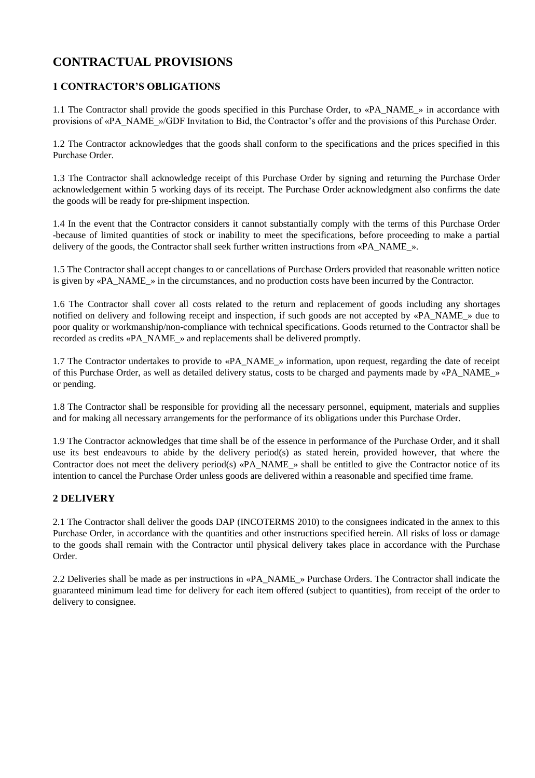# **CONTRACTUAL PROVISIONS**

# **1 CONTRACTOR'S OBLIGATIONS**

1.1 The Contractor shall provide the goods specified in this Purchase Order, to «PA\_NAME\_» in accordance with provisions of «PA\_NAME\_»/GDF Invitation to Bid, the Contractor's offer and the provisions of this Purchase Order.

1.2 The Contractor acknowledges that the goods shall conform to the specifications and the prices specified in this Purchase Order.

1.3 The Contractor shall acknowledge receipt of this Purchase Order by signing and returning the Purchase Order acknowledgement within 5 working days of its receipt. The Purchase Order acknowledgment also confirms the date the goods will be ready for pre-shipment inspection.

1.4 In the event that the Contractor considers it cannot substantially comply with the terms of this Purchase Order -because of limited quantities of stock or inability to meet the specifications, before proceeding to make a partial delivery of the goods, the Contractor shall seek further written instructions from «PA\_NAME ».

1.5 The Contractor shall accept changes to or cancellations of Purchase Orders provided that reasonable written notice is given by «PA\_NAME\_» in the circumstances, and no production costs have been incurred by the Contractor.

1.6 The Contractor shall cover all costs related to the return and replacement of goods including any shortages notified on delivery and following receipt and inspection, if such goods are not accepted by «PA\_NAME\_» due to poor quality or workmanship/non-compliance with technical specifications. Goods returned to the Contractor shall be recorded as credits «PA\_NAME\_» and replacements shall be delivered promptly.

1.7 The Contractor undertakes to provide to «PA\_NAME\_» information, upon request, regarding the date of receipt of this Purchase Order, as well as detailed delivery status, costs to be charged and payments made by «PA\_NAME\_» or pending.

1.8 The Contractor shall be responsible for providing all the necessary personnel, equipment, materials and supplies and for making all necessary arrangements for the performance of its obligations under this Purchase Order.

1.9 The Contractor acknowledges that time shall be of the essence in performance of the Purchase Order, and it shall use its best endeavours to abide by the delivery period(s) as stated herein, provided however, that where the Contractor does not meet the delivery period(s) «PA\_NAME\_» shall be entitled to give the Contractor notice of its intention to cancel the Purchase Order unless goods are delivered within a reasonable and specified time frame.

# **2 DELIVERY**

2.1 The Contractor shall deliver the goods DAP (INCOTERMS 2010) to the consignees indicated in the annex to this Purchase Order, in accordance with the quantities and other instructions specified herein. All risks of loss or damage to the goods shall remain with the Contractor until physical delivery takes place in accordance with the Purchase Order.

2.2 Deliveries shall be made as per instructions in «PA\_NAME\_» Purchase Orders. The Contractor shall indicate the guaranteed minimum lead time for delivery for each item offered (subject to quantities), from receipt of the order to delivery to consignee.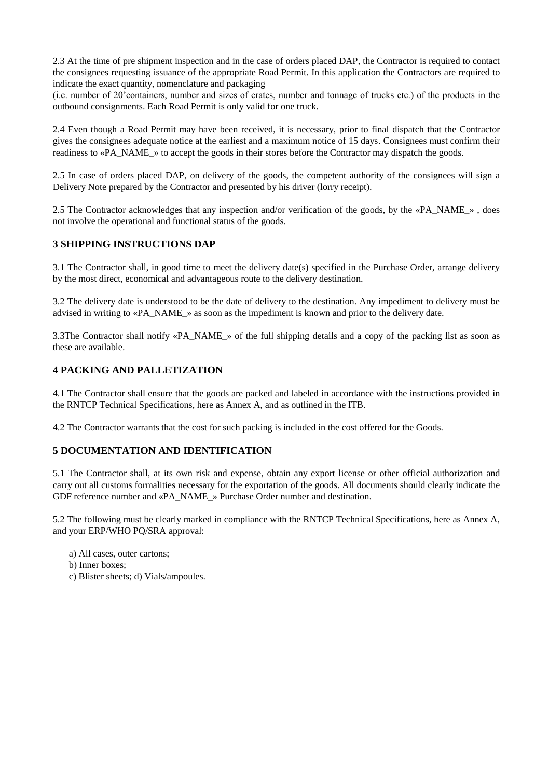2.3 At the time of pre shipment inspection and in the case of orders placed DAP, the Contractor is required to contact the consignees requesting issuance of the appropriate Road Permit. In this application the Contractors are required to indicate the exact quantity, nomenclature and packaging

(i.e. number of 20'containers, number and sizes of crates, number and tonnage of trucks etc.) of the products in the outbound consignments. Each Road Permit is only valid for one truck.

2.4 Even though a Road Permit may have been received, it is necessary, prior to final dispatch that the Contractor gives the consignees adequate notice at the earliest and a maximum notice of 15 days. Consignees must confirm their readiness to «PA\_NAME\_» to accept the goods in their stores before the Contractor may dispatch the goods.

2.5 In case of orders placed DAP, on delivery of the goods, the competent authority of the consignees will sign a Delivery Note prepared by the Contractor and presented by his driver (lorry receipt).

2.5 The Contractor acknowledges that any inspection and/or verification of the goods, by the «PA\_NAME\_», does not involve the operational and functional status of the goods.

#### **3 SHIPPING INSTRUCTIONS DAP**

3.1 The Contractor shall, in good time to meet the delivery date(s) specified in the Purchase Order, arrange delivery by the most direct, economical and advantageous route to the delivery destination.

3.2 The delivery date is understood to be the date of delivery to the destination. Any impediment to delivery must be advised in writing to «PA\_NAME\_» as soon as the impediment is known and prior to the delivery date.

3.3The Contractor shall notify «PA\_NAME\_» of the full shipping details and a copy of the packing list as soon as these are available.

### **4 PACKING AND PALLETIZATION**

4.1 The Contractor shall ensure that the goods are packed and labeled in accordance with the instructions provided in the RNTCP Technical Specifications, here as Annex A, and as outlined in the ITB.

4.2 The Contractor warrants that the cost for such packing is included in the cost offered for the Goods.

#### **5 DOCUMENTATION AND IDENTIFICATION**

5.1 The Contractor shall, at its own risk and expense, obtain any export license or other official authorization and carry out all customs formalities necessary for the exportation of the goods. All documents should clearly indicate the GDF reference number and «PA\_NAME\_» Purchase Order number and destination.

5.2 The following must be clearly marked in compliance with the RNTCP Technical Specifications, here as Annex A, and your ERP/WHO PQ/SRA approval:

- a) All cases, outer cartons;
- b) Inner boxes;
- c) Blister sheets; d) Vials/ampoules.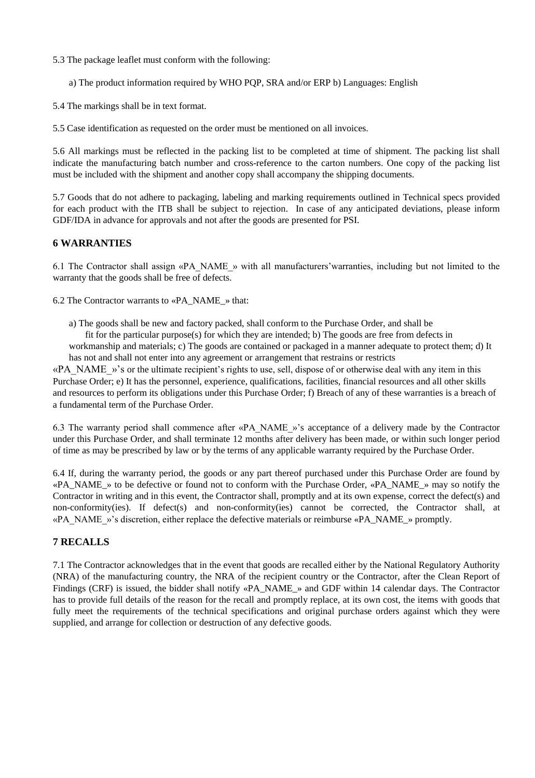- 5.3 The package leaflet must conform with the following:
	- a) The product information required by WHO PQP, SRA and/or ERP b) Languages: English
- 5.4 The markings shall be in text format.

5.5 Case identification as requested on the order must be mentioned on all invoices.

5.6 All markings must be reflected in the packing list to be completed at time of shipment. The packing list shall indicate the manufacturing batch number and cross-reference to the carton numbers. One copy of the packing list must be included with the shipment and another copy shall accompany the shipping documents.

5.7 Goods that do not adhere to packaging, labeling and marking requirements outlined in Technical specs provided for each product with the ITB shall be subject to rejection. In case of any anticipated deviations, please inform GDF/IDA in advance for approvals and not after the goods are presented for PSI.

#### **6 WARRANTIES**

6.1 The Contractor shall assign «PA\_NAME\_» with all manufacturers'warranties, including but not limited to the warranty that the goods shall be free of defects.

6.2 The Contractor warrants to «PA\_NAME\_» that:

a) The goods shall be new and factory packed, shall conform to the Purchase Order, and shall be

fit for the particular purpose(s) for which they are intended; b) The goods are free from defects in workmanship and materials; c) The goods are contained or packaged in a manner adequate to protect them; d) It has not and shall not enter into any agreement or arrangement that restrains or restricts

«PA\_NAME\_»'s or the ultimate recipient's rights to use, sell, dispose of or otherwise deal with any item in this Purchase Order; e) It has the personnel, experience, qualifications, facilities, financial resources and all other skills and resources to perform its obligations under this Purchase Order; f) Breach of any of these warranties is a breach of a fundamental term of the Purchase Order.

6.3 The warranty period shall commence after «PA\_NAME\_»'s acceptance of a delivery made by the Contractor under this Purchase Order, and shall terminate 12 months after delivery has been made, or within such longer period of time as may be prescribed by law or by the terms of any applicable warranty required by the Purchase Order.

6.4 If, during the warranty period, the goods or any part thereof purchased under this Purchase Order are found by «PA\_NAME\_» to be defective or found not to conform with the Purchase Order, «PA\_NAME\_» may so notify the Contractor in writing and in this event, the Contractor shall, promptly and at its own expense, correct the defect(s) and non-conformity(ies). If defect(s) and non-conformity(ies) cannot be corrected, the Contractor shall, at «PA\_NAME\_»'s discretion, either replace the defective materials or reimburse «PA\_NAME\_» promptly.

# **7 RECALLS**

7.1 The Contractor acknowledges that in the event that goods are recalled either by the National Regulatory Authority (NRA) of the manufacturing country, the NRA of the recipient country or the Contractor, after the Clean Report of Findings (CRF) is issued, the bidder shall notify «PA\_NAME\_» and GDF within 14 calendar days. The Contractor has to provide full details of the reason for the recall and promptly replace, at its own cost, the items with goods that fully meet the requirements of the technical specifications and original purchase orders against which they were supplied, and arrange for collection or destruction of any defective goods.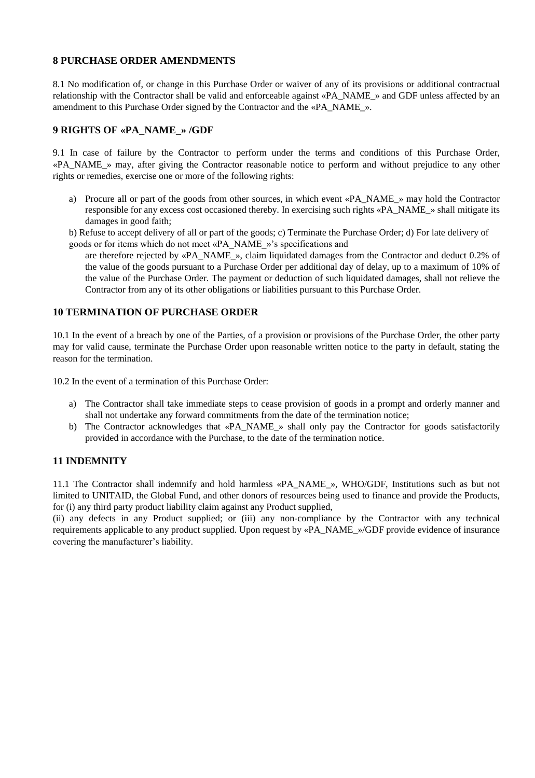#### **8 PURCHASE ORDER AMENDMENTS**

8.1 No modification of, or change in this Purchase Order or waiver of any of its provisions or additional contractual relationship with the Contractor shall be valid and enforceable against «PA\_NAME\_» and GDF unless affected by an amendment to this Purchase Order signed by the Contractor and the «PA\_NAME\_».

# **9 RIGHTS OF «PA\_NAME\_» /GDF**

9.1 In case of failure by the Contractor to perform under the terms and conditions of this Purchase Order, «PA\_NAME\_» may, after giving the Contractor reasonable notice to perform and without prejudice to any other rights or remedies, exercise one or more of the following rights:

a) Procure all or part of the goods from other sources, in which event «PA\_NAME\_» may hold the Contractor responsible for any excess cost occasioned thereby. In exercising such rights «PA\_NAME\_» shall mitigate its damages in good faith;

b) Refuse to accept delivery of all or part of the goods; c) Terminate the Purchase Order; d) For late delivery of goods or for items which do not meet «PA\_NAME\_»'s specifications and

are therefore rejected by «PA\_NAME\_», claim liquidated damages from the Contractor and deduct 0.2% of the value of the goods pursuant to a Purchase Order per additional day of delay, up to a maximum of 10% of the value of the Purchase Order. The payment or deduction of such liquidated damages, shall not relieve the Contractor from any of its other obligations or liabilities pursuant to this Purchase Order.

#### **10 TERMINATION OF PURCHASE ORDER**

10.1 In the event of a breach by one of the Parties, of a provision or provisions of the Purchase Order, the other party may for valid cause, terminate the Purchase Order upon reasonable written notice to the party in default, stating the reason for the termination.

10.2 In the event of a termination of this Purchase Order:

- a) The Contractor shall take immediate steps to cease provision of goods in a prompt and orderly manner and shall not undertake any forward commitments from the date of the termination notice;
- b) The Contractor acknowledges that «PA\_NAME\_» shall only pay the Contractor for goods satisfactorily provided in accordance with the Purchase, to the date of the termination notice.

# **11 INDEMNITY**

11.1 The Contractor shall indemnify and hold harmless «PA\_NAME\_», WHO/GDF, Institutions such as but not limited to UNITAID, the Global Fund, and other donors of resources being used to finance and provide the Products, for (i) any third party product liability claim against any Product supplied,

(ii) any defects in any Product supplied; or (iii) any non-compliance by the Contractor with any technical requirements applicable to any product supplied. Upon request by «PA\_NAME\_»/GDF provide evidence of insurance covering the manufacturer's liability.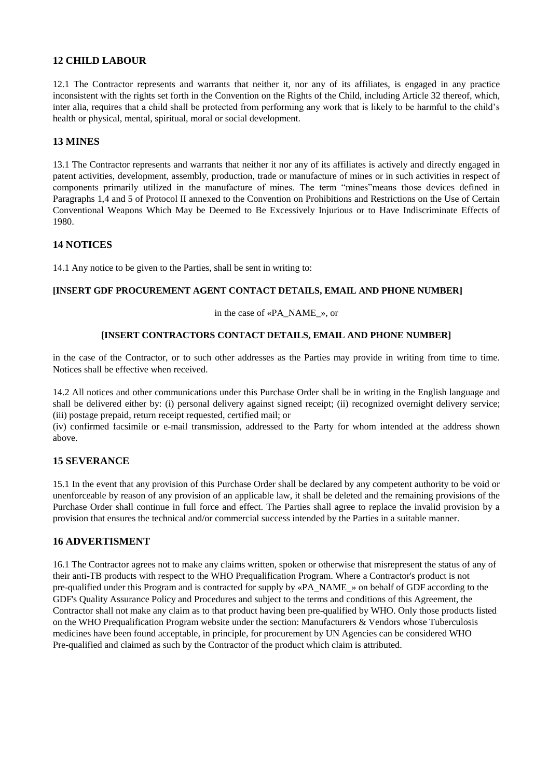### **12 CHILD LABOUR**

12.1 The Contractor represents and warrants that neither it, nor any of its affiliates, is engaged in any practice inconsistent with the rights set forth in the Convention on the Rights of the Child, including Article 32 thereof, which, inter alia, requires that a child shall be protected from performing any work that is likely to be harmful to the child's health or physical, mental, spiritual, moral or social development.

#### **13 MINES**

13.1 The Contractor represents and warrants that neither it nor any of its affiliates is actively and directly engaged in patent activities, development, assembly, production, trade or manufacture of mines or in such activities in respect of components primarily utilized in the manufacture of mines. The term "mines"means those devices defined in Paragraphs 1,4 and 5 of Protocol II annexed to the Convention on Prohibitions and Restrictions on the Use of Certain Conventional Weapons Which May be Deemed to Be Excessively Injurious or to Have Indiscriminate Effects of 1980.

#### **14 NOTICES**

14.1 Any notice to be given to the Parties, shall be sent in writing to:

#### **[INSERT GDF PROCUREMENT AGENT CONTACT DETAILS, EMAIL AND PHONE NUMBER]**

#### in the case of «PA\_NAME\_», or

#### **[INSERT CONTRACTORS CONTACT DETAILS, EMAIL AND PHONE NUMBER]**

in the case of the Contractor, or to such other addresses as the Parties may provide in writing from time to time. Notices shall be effective when received.

14.2 All notices and other communications under this Purchase Order shall be in writing in the English language and shall be delivered either by: (i) personal delivery against signed receipt; (ii) recognized overnight delivery service; (iii) postage prepaid, return receipt requested, certified mail; or

(iv) confirmed facsimile or e-mail transmission, addressed to the Party for whom intended at the address shown above.

#### **15 SEVERANCE**

15.1 In the event that any provision of this Purchase Order shall be declared by any competent authority to be void or unenforceable by reason of any provision of an applicable law, it shall be deleted and the remaining provisions of the Purchase Order shall continue in full force and effect. The Parties shall agree to replace the invalid provision by a provision that ensures the technical and/or commercial success intended by the Parties in a suitable manner.

#### **16 ADVERTISMENT**

16.1 The Contractor agrees not to make any claims written, spoken or otherwise that misrepresent the status of any of their anti-TB products with respect to the WHO Prequalification Program. Where a Contractor's product is not pre-qualified under this Program and is contracted for supply by «PA\_NAME\_» on behalf of GDF according to the GDF's Quality Assurance Policy and Procedures and subject to the terms and conditions of this Agreement, the Contractor shall not make any claim as to that product having been pre-qualified by WHO. Only those products listed on the WHO Prequalification Program website under the section: Manufacturers & Vendors whose Tuberculosis medicines have been found acceptable, in principle, for procurement by UN Agencies can be considered WHO Pre-qualified and claimed as such by the Contractor of the product which claim is attributed.